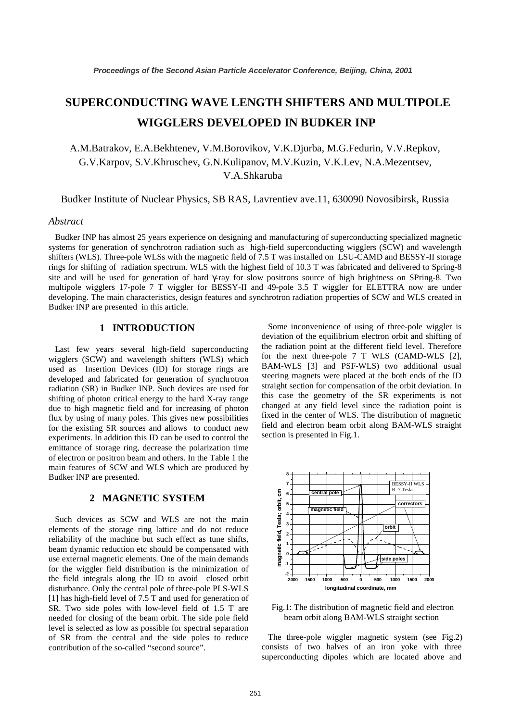# **SUPERCONDUCTING WAVE LENGTH SHIFTERS AND MULTIPOLE WIGGLERS DEVELOPED IN BUDKER INP**

A.M.Batrakov, E.A.Bekhtenev, V.M.Borovikov, V.K.Djurba, M.G.Fedurin, V.V.Repkov, G.V.Karpov, S.V.Khruschev, G.N.Kulipanov, M.V.Kuzin, V.K.Lev, N.A.Mezentsev, V.A.Shkaruba

Budker Institute of Nuclear Physics, SB RAS, Lavrentiev ave.11, 630090 Novosibirsk, Russia

#### *Abstract*

 Budker INP has almost 25 years experience on designing and manufacturing of superconducting specialized magnetic systems for generation of synchrotron radiation such as high-field superconducting wigglers (SCW) and wavelength shifters (WLS). Three-pole WLSs with the magnetic field of 7.5 T was installed on LSU-CAMD and BESSY-II storage rings for shifting of radiation spectrum. WLS with the highest field of 10.3 T was fabricated and delivered to Spring-8 site and will be used for generation of hard γ-ray for slow positrons source of high brightness on SPring-8. Two multipole wigglers 17-pole 7 T wiggler for BESSY-II and 49-pole 3.5 T wiggler for ELETTRA now are under developing. The main characteristics, design features and synchrotron radiation properties of SCW and WLS created in Budker INP are presented in this article.

#### **1 INTRODUCTION**

Last few years several high-field superconducting wigglers (SCW) and wavelength shifters (WLS) which used as Insertion Devices (ID) for storage rings are developed and fabricated for generation of synchrotron radiation (SR) in Budker INP. Such devices are used for shifting of photon critical energy to the hard X-ray range due to high magnetic field and for increasing of photon flux by using of many poles. This gives new possibilities for the existing SR sources and allows to conduct new experiments. In addition this ID can be used to control the emittance of storage ring, decrease the polarization time of electron or positron beam and others. In the Table 1 the main features of SCW and WLS which are produced by Budker INP are presented.

## **2 MAGNETIC SYSTEM**

Such devices as SCW and WLS are not the main elements of the storage ring lattice and do not reduce reliability of the machine but such effect as tune shifts, beam dynamic reduction etc should be compensated with use external magnetic elements. One of the main demands for the wiggler field distribution is the minimization of the field integrals along the ID to avoid closed orbit disturbance. Only the central pole of three-pole PLS-WLS [1] has high-field level of 7.5 T and used for generation of SR. Two side poles with low-level field of 1.5 T are needed for closing of the beam orbit. The side pole field level is selected as low as possible for spectral separation of SR from the central and the side poles to reduce contribution of the so-called "second source".

 Some inconvenience of using of three-pole wiggler is deviation of the equilibrium electron orbit and shifting of the radiation point at the different field level. Therefore for the next three-pole 7 T WLS (CAMD-WLS [2], BAM-WLS [3] and PSF-WLS) two additional usual steering magnets were placed at the both ends of the ID straight section for compensation of the orbit deviation. In this case the geometry of the SR experiments is not changed at any field level since the radiation point is fixed in the center of WLS. The distribution of magnetic field and electron beam orbit along BAM-WLS straight section is presented in Fig.1.



Fig.1: The distribution of magnetic field and electron beam orbit along BAM-WLS straight section

The three-pole wiggler magnetic system (see Fig.2) consists of two halves of an iron yoke with three superconducting dipoles which are located above and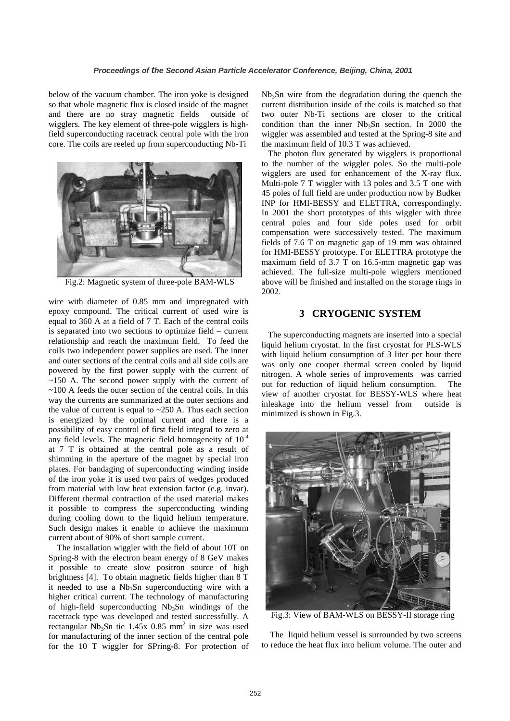below of the vacuum chamber. The iron yoke is designed so that whole magnetic flux is closed inside of the magnet and there are no stray magnetic fields outside of wigglers. The key element of three-pole wigglers is highfield superconducting racetrack central pole with the iron core. The coils are reeled up from superconducting Nb-Ti



Fig.2: Magnetic system of three-pole BAM-WLS

wire with diameter of 0.85 mm and impregnated with epoxy compound. The critical current of used wire is equal to 360 A at a field of 7 T. Each of the central coils is separated into two sections to optimize field – current relationship and reach the maximum field. To feed the coils two independent power supplies are used. The inner and outer sections of the central coils and all side coils are powered by the first power supply with the current of  $\sim$ 150 A. The second power supply with the current of  $\sim$ 100 A feeds the outer section of the central coils. In this way the currents are summarized at the outer sections and the value of current is equal to  $\sim$  250 A. Thus each section is energized by the optimal current and there is a possibility of easy control of first field integral to zero at any field levels. The magnetic field homogeneity of  $10^{-4}$ at 7 T is obtained at the central pole as a result of shimming in the aperture of the magnet by special iron plates. For bandaging of superconducting winding inside of the iron yoke it is used two pairs of wedges produced from material with low heat extension factor (e.g. invar). Different thermal contraction of the used material makes it possible to compress the superconducting winding during cooling down to the liquid helium temperature. Such design makes it enable to achieve the maximum current about of 90% of short sample current.

 The installation wiggler with the field of about 10T on Spring-8 with the electron beam energy of 8 GeV makes it possible to create slow positron source of high brightness [4]. To obtain magnetic fields higher than 8 T it needed to use a  $Nb<sub>3</sub>Sn$  superconducting wire with a higher critical current. The technology of manufacturing of high-field superconducting Nb<sub>3</sub>Sn windings of the racetrack type was developed and tested successfully. A rectangular  $Nb_3Sn$  tie 1.45x 0.85 mm<sup>2</sup> in size was used for manufacturing of the inner section of the central pole for the 10 T wiggler for SPring-8. For protection of

 $Nb<sub>3</sub>Sn$  wire from the degradation during the quench the current distribution inside of the coils is matched so that two outer Nb-Ti sections are closer to the critical condition than the inner  $Nb<sub>3</sub>Sn$  section. In 2000 the wiggler was assembled and tested at the Spring-8 site and the maximum field of 10.3 T was achieved.

 The photon flux generated by wigglers is proportional to the number of the wiggler poles. So the multi-pole wigglers are used for enhancement of the X-ray flux. Multi-pole 7 T wiggler with 13 poles and 3.5 T one with 45 poles of full field are under production now by Budker INP for HMI-BESSY and ELETTRA, correspondingly. In 2001 the short prototypes of this wiggler with three central poles and four side poles used for orbit compensation were successively tested. The maximum fields of 7.6 T on magnetic gap of 19 mm was obtained for HMI-BESSY prototype. For ELETTRA prototype the maximum field of 3.7 T on 16.5-mm magnetic gap was achieved. The full-size multi-pole wigglers mentioned above will be finished and installed on the storage rings in 2002.

### **3 CRYOGENIC SYSTEM**

 The superconducting magnets are inserted into a special liquid helium cryostat. In the first cryostat for PLS-WLS with liquid helium consumption of 3 liter per hour there was only one cooper thermal screen cooled by liquid nitrogen. A whole series of improvements was carried out for reduction of liquid helium consumption. The view of another cryostat for BESSY-WLS where heat inleakage into the helium vessel from outside is minimized is shown in Fig.3.



Fig.3: View of BAM-WLS on BESSY-II storage ring

 The liquid helium vessel is surrounded by two screens to reduce the heat flux into helium volume. The outer and